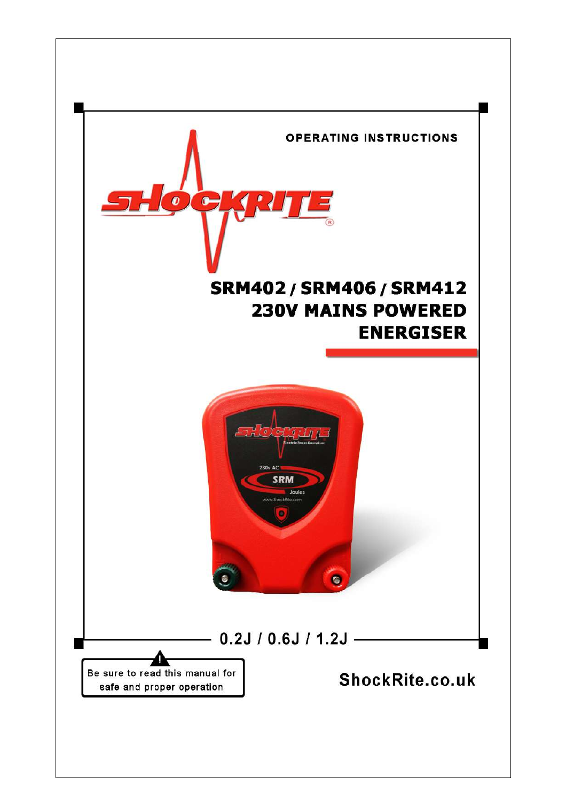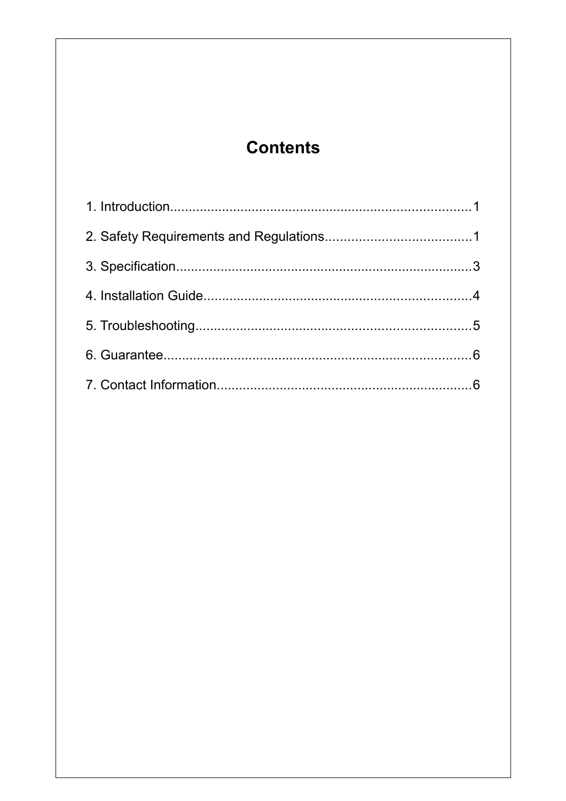# <span id="page-1-0"></span>**Contents**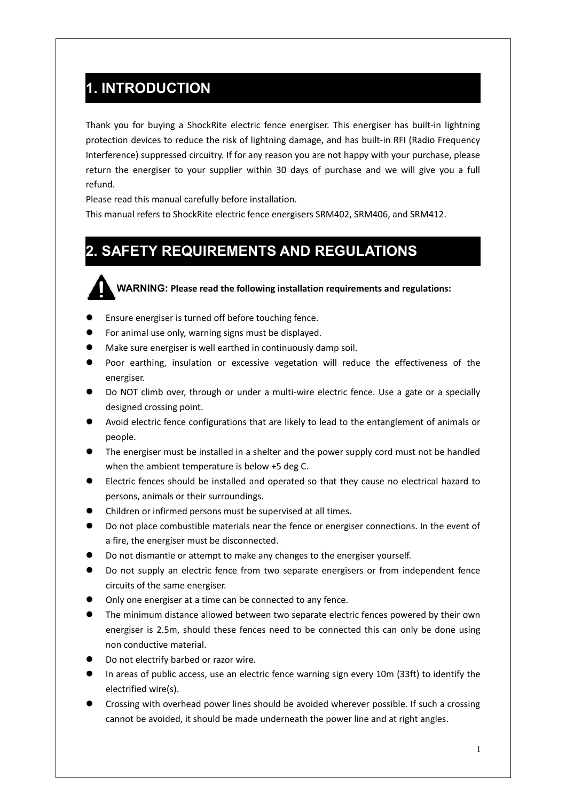### <span id="page-2-1"></span>**1. INTRODUCTION**

Thank you for buying a ShockRite electric fence energiser. This energiser has built-in lightning protection devices to reduce the risk of lightning damage, and has built-in RFI (Radio Frequency Interference) suppressed circuitry. If for any reason you are not happy with your purchase, please return the energiser to your supplier within 30 days of purchase and we will give you a full refund.

Please read this manual carefully before installation.

<span id="page-2-0"></span>This manual refers to ShockRite electric fence energisers SRM402, SRM406, and SRM412.

### **2. SAFETY REQUIREMENTS AND REGULATIONS**

**WARNING: Please read the following installation requirements and regulations:**

- **•** Ensure energiser is turned off before touching fence.
- For animal use only, warning signs must be displayed.
- Make sure energiser is well earthed in continuously damp soil.
- Poor earthing, insulation or excessive vegetation will reduce the effectiveness of the energiser.
- Do NOT climb over, through or under a multi-wire electric fence. Use a gate or a specially designed crossing point.
- Avoid electric fence configurations that are likely to lead to the entanglement of animals or people.
- The energiser must be installed in a shelter and the power supply cord must not be handled when the ambient temperature is below +5 deg C.
- Electric fences should be installed and operated so that they cause no electrical hazard to persons, animals or their surroundings.
- Children or infirmed persons must be supervised at all times.
- Do not place combustible materials near the fence or energiser connections. In the event of a fire, the energiser must be disconnected.
- Do not dismantle or attempt to make any changes to the energiser yourself.
- Do not supply an electric fence from two separate energisers or from independent fence circuits of the same energiser.
- Only one energiser at a time can be connected to any fence.
- The minimum distance allowed between two separate electric fences powered by their own energiser is 2.5m, should these fences need to be connected this can only be done using non conductive material.
- Do not electrify barbed or razor wire.
- In areas of public access, use an electric fence warning sign every 10m (33ft) to identify the electrified wire(s).
- Crossing with overhead power lines should be avoided wherever possible. If such a crossing cannot be avoided, it should be made underneath the power line and at right angles.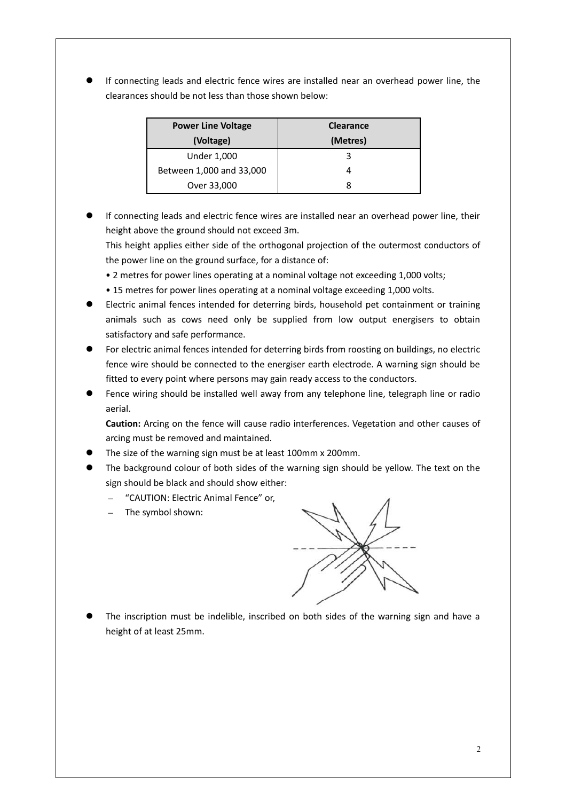If connecting leads and electric fence wires are installed near an overhead power line, the clearances should be not less than those shown below:

| <b>Power Line Voltage</b> | <b>Clearance</b> |
|---------------------------|------------------|
| (Voltage)                 | (Metres)         |
| <b>Under 1,000</b>        |                  |
| Between 1,000 and 33,000  | л                |
| Over 33,000               |                  |

 If connecting leads and electric fence wires are installed near an overhead power line, their height above the ground should not exceed 3m.

This height applies either side of the orthogonal projection of the outermost conductors of the power line on the ground surface, for a distance of:

- 2 metres for power lines operating at a nominal voltage not exceeding 1,000 volts;
- 15 metres for power lines operating at a nominal voltage exceeding 1,000 volts.
- Electric animal fences intended for deterring birds, household pet containment or training animals such as cows need only be supplied from low output energisers to obtain satisfactory and safe performance.

 For electric animal fences intended for deterring birds from roosting on buildings, no electric fence wire should be connected to the energiser earth electrode. A warning sign should be fitted to every point where persons may gain ready access to the conductors.

 Fence wiring should be installed well away from any telephone line, telegraph line or radio aerial.

**Caution:** Arcing on the fence will cause radio interferences. Vegetation and other causes of arcing must be removed and maintained.

- The size of the warning sign must be at least 100mm x 200mm.
- The background colour of both sides of the warning sign should be yellow. The text on the sign should be black and should show either:
	- "CAUTION: Electric Animal Fence" or,
	- $-$  The symbol shown:



 The inscription must be indelible, inscribed on both sides of the warning sign and have a height of at least 25mm.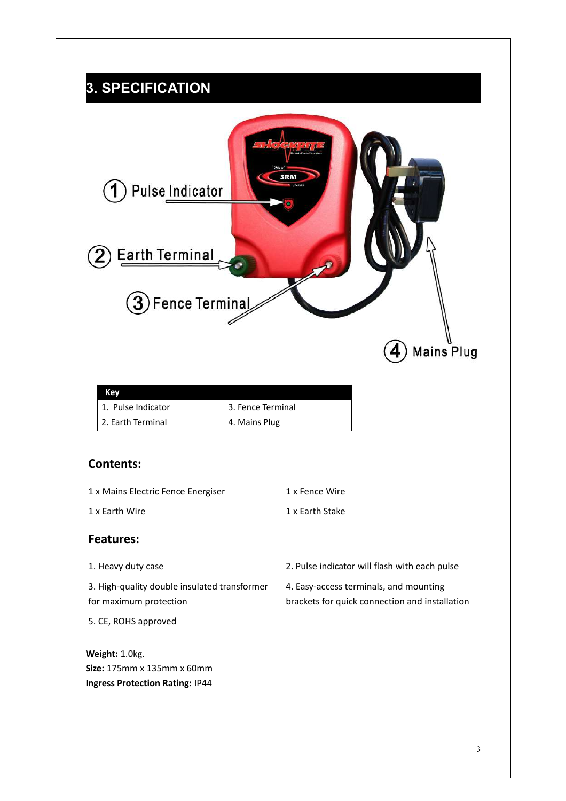# <span id="page-4-0"></span>**3. SPECIFICATION**

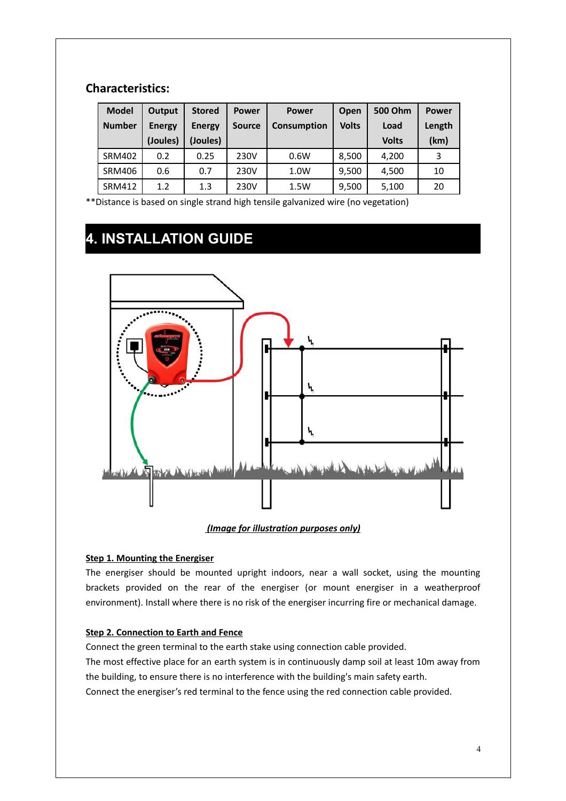#### **Characteristics:**

| <b>Model</b>  | Output        | <b>Stored</b> | <b>Power</b>  | <b>Power</b> | Open         | 500 Ohm      | <b>Power</b> |
|---------------|---------------|---------------|---------------|--------------|--------------|--------------|--------------|
| <b>Number</b> | <b>Energy</b> | <b>Energy</b> | <b>Source</b> | Consumption  | <b>Volts</b> | Load         | Length       |
|               | (Joules)      | (Joules)      |               |              |              | <b>Volts</b> | (km)         |
| <b>SRM402</b> | 0.2           | 0.25          | 230V          | 0.6W         | 8,500        | 4,200        | 3            |
| <b>SRM406</b> | 0.6           | 0.7           | 230V          | 1.0W         | 9,500        | 4.500        | 10           |
| <b>SRM412</b> | 1.2           | 1.3           | 230V          | 1.5W         | 9,500        | 5,100        | 20           |

<span id="page-5-0"></span>\*\*Distance is based on single strand high tensile galvanized wire (no vegetation)

# **4. INSTALLATION GUIDE**



#### *(Image for illustration purposes only)*

#### **Step 1. Mounting the Energiser**

The energiser should be mounted upright indoors, near a wall socket, using the mounting brackets provided on the rear of the energiser (or mount energiser in a weatherproof environment). Install where there is no risk of the energiser incurring fire or mechanical damage.

#### **Step 2. Connection to Earth and Fence**

Connect the green terminal to the earth stake using connection cable provided.

The most effective place for an earth system is in continuously damp soil at least 10m away from the building, to ensure there is no interference with the building's main safety earth.

Connect the energiser's red terminal to the fence using the red connection cable provided.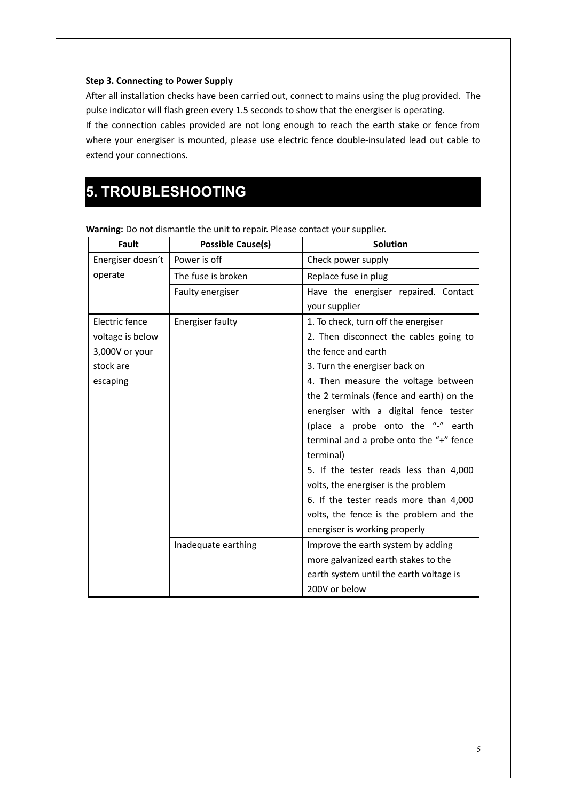#### **Step 3. Connecting to Power Supply**

After all installation checks have been carried out, connect to mains using the plug provided. The pulse indicator will flash green every 1.5 seconds to show that the energiser is operating.

If the connection cables provided are not long enough to reach the earth stake or fence from where your energiser is mounted, please use electric fence double-insulated lead out cable to extend your connections.

# <span id="page-6-0"></span>**5. TROUBLESHOOTING**

| <b>Fault</b>      | <b>Possible Cause(s)</b> | <b>Solution</b>                          |
|-------------------|--------------------------|------------------------------------------|
| Energiser doesn't | Power is off             | Check power supply                       |
| operate           | The fuse is broken       | Replace fuse in plug                     |
|                   | Faulty energiser         | Have the energiser repaired. Contact     |
|                   |                          | your supplier                            |
| Electric fence    | <b>Energiser faulty</b>  | 1. To check, turn off the energiser      |
| voltage is below  |                          | 2. Then disconnect the cables going to   |
| 3,000V or your    |                          | the fence and earth                      |
| stock are         |                          | 3. Turn the energiser back on            |
| escaping          |                          | 4. Then measure the voltage between      |
|                   |                          | the 2 terminals (fence and earth) on the |
|                   |                          | energiser with a digital fence tester    |
|                   |                          | (place a probe onto the "-" earth        |
|                   |                          | terminal and a probe onto the "+" fence  |
|                   |                          | terminal)                                |
|                   |                          | 5. If the tester reads less than 4,000   |
|                   |                          | volts, the energiser is the problem      |
|                   |                          | 6. If the tester reads more than 4,000   |
|                   |                          | volts, the fence is the problem and the  |
|                   |                          | energiser is working properly            |
|                   | Inadequate earthing      | Improve the earth system by adding       |
|                   |                          | more galvanized earth stakes to the      |
|                   |                          | earth system until the earth voltage is  |
|                   |                          | 200V or below                            |

**Warning:** Do not dismantle the unit to repair. Please contact your supplier.